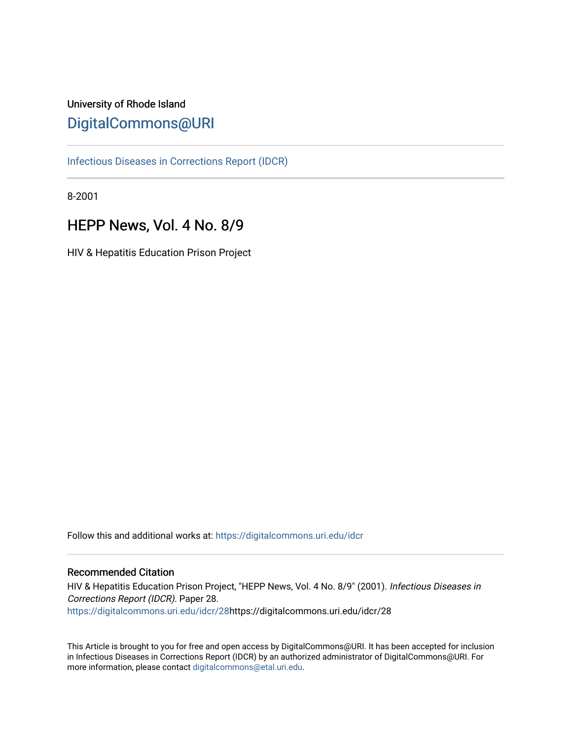# University of Rhode Island [DigitalCommons@URI](https://digitalcommons.uri.edu/)

[Infectious Diseases in Corrections Report \(IDCR\)](https://digitalcommons.uri.edu/idcr)

8-2001

# HEPP News, Vol. 4 No. 8/9

HIV & Hepatitis Education Prison Project

Follow this and additional works at: [https://digitalcommons.uri.edu/idcr](https://digitalcommons.uri.edu/idcr?utm_source=digitalcommons.uri.edu%2Fidcr%2F28&utm_medium=PDF&utm_campaign=PDFCoverPages)

## Recommended Citation

HIV & Hepatitis Education Prison Project, "HEPP News, Vol. 4 No. 8/9" (2001). Infectious Diseases in Corrections Report (IDCR). Paper 28. [https://digitalcommons.uri.edu/idcr/28h](https://digitalcommons.uri.edu/idcr/28?utm_source=digitalcommons.uri.edu%2Fidcr%2F28&utm_medium=PDF&utm_campaign=PDFCoverPages)ttps://digitalcommons.uri.edu/idcr/28

This Article is brought to you for free and open access by DigitalCommons@URI. It has been accepted for inclusion in Infectious Diseases in Corrections Report (IDCR) by an authorized administrator of DigitalCommons@URI. For more information, please contact [digitalcommons@etal.uri.edu.](mailto:digitalcommons@etal.uri.edu)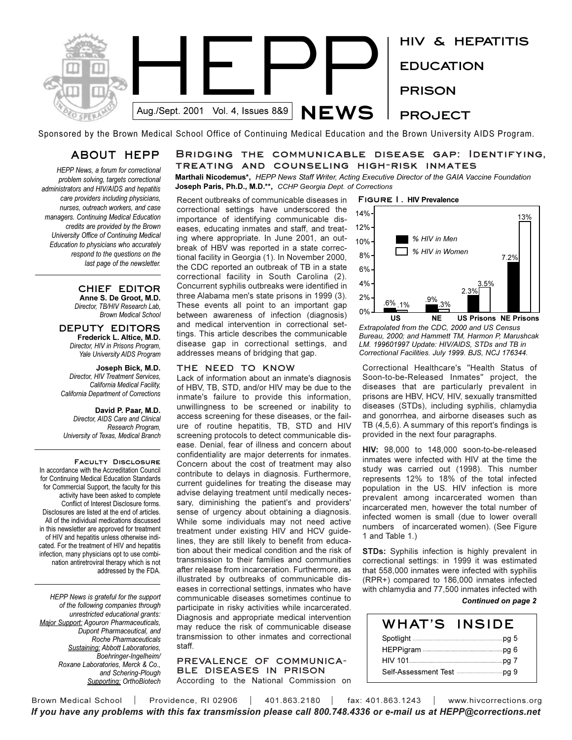

Sponsored by the Brown Medical School Office of Continuing Medical Education and the Brown University AIDS Program.

## **ABOUT HEPP**

*HEPP News, a forum for correctional problem solving, targets correctional administrators and HIV/AIDS and hepatitis care providers including physicians, nurses, outreach workers, and case managers. Continuing Medical Education credits are provided by the Brown University Office of Continuing Medical Education to physicians who accurately respond to the questions on the last page of the newsletter.* 

> **CHIEF EDITOR Anne S. De Groot, M.D.** *Director, TB/HIV Research Lab, Brown Medical School*

**DEPUTY EDITORS Frederick L. Altice, M.D.** *Director, HIV in Prisons Program, Yale University AIDS Program*

**Joseph Bick, M.D.** *Director, HIV Treatment Services, California Medical Facility, California Department of Corrections*

**David P. Paar, M.D.** *Director, AIDS Care and Clinical Research Program, University of Texas, Medical Branch*

**Faculty Disclosure**  In accordance with the Accreditation Council for Continuing Medical Education Standards for Commercial Support, the faculty for this activity have been asked to complete Conflict of Interest Disclosure forms. Disclosures are listed at the end of articles. All of the individual medications discussed in this newsletter are approved for treatment of HIV and hepatitis unless otherwise indicated. For the treatment of HIV and hepatitis infection, many physicians opt to use combination antiretroviral therapy which is not addressed by the FDA.

*HEPP News is grateful for the support of the following companies through unrestricted educational grants: Major Support: Agouron Pharmaceuticals, Dupont Pharmaceutical, and Roche Pharmaceuticals Sustaining: Abbott Laboratories, Boehringer-Ingelheim/ Roxane Laboratories, Merck & Co., and Schering-Plough Supporting: OrthoBiotech* **Bridging the communicable disease gap: Identifying, treating and counseling high-risk inmates**

**Marthali Nicodemus\*,** *HEPP News Staff Writer, Acting Executive Director of the GAIA Vaccine Foundation* **Joseph Paris, Ph.D., M.D.\*\*,** *CCHP Georgia Dept. of Corrections*

Recent outbreaks of communicable diseases in correctional settings have underscored the importance of identifying communicable diseases, educating inmates and staff, and treating where appropriate. In June 2001, an outbreak of HBV was reported in a state correctional facility in Georgia (1). In November 2000, the CDC reported an outbreak of TB in a state correctional facility in South Carolina (2). Concurrent syphilis outbreaks were identified in three Alabama men's state prisons in 1999 (3). These events all point to an important gap between awareness of infection (diagnosis) and medical intervention in correctional settings. This article describes the communicable disease gap in correctional settings, and addresses means of bridging that gap.

#### **THE NEED TO KNOW**

Lack of information about an inmate's diagnosis of HBV, TB, STD, and/or HIV may be due to the inmate's failure to provide this information, unwillingness to be screened or inability to access screening for these diseases, or the failure of routine hepatitis, TB, STD and HIV screening protocols to detect communicable disease. Denial, fear of illness and concern about confidentiality are major deterrents for inmates. Concern about the cost of treatment may also contribute to delays in diagnosis. Furthermore, current guidelines for treating the disease may advise delaying treatment until medically necessary, diminishing the patient's and providers' sense of urgency about obtaining a diagnosis. While some individuals may not need active treatment under existing HIV and HCV guidelines, they are still likely to benefit from education about their medical condition and the risk of transmission to their families and communities after release from incarceration. Furthermore, as illustrated by outbreaks of communicable diseases in correctional settings, inmates who have communicable diseases sometimes continue to participate in risky activities while incarcerated. Diagnosis and appropriate medical intervention may reduce the risk of communicable disease transmission to other inmates and correctional staff.

## **PREVALENCE OF COMMUNICA-BLE DISEASES IN PRISON**

According to the National Commission on



*Extrapolated from the CDC, 2000 and US Census Bureau, 2000; and Hammett TM, Harmon P, Marushcak LM. 199601997 Update: HIV/AIDS, STDs and TB in Correctional Facilities. July 1999. BJS, NCJ 176344.*

Correctional Healthcare's "Health Status of Soon-to-be-Released Inmates" project, the diseases that are particularly prevalent in prisons are HBV, HCV, HIV, sexually transmitted diseases (STDs), including syphilis, chlamydia and gonorrhea, and airborne diseases such as TB (4,5,6). A summary of this report's findings is provided in the next four paragraphs.

**HIV:** 98,000 to 148,000 soon-to-be-released inmates were infected with HIV at the time the study was carried out (1998). This number represents 12% to 18% of the total infected population in the US. HIV infection is more prevalent among incarcerated women than incarcerated men, however the total number of infected women is small (due to lower overall numbers of incarcerated women). (See Figure 1 and Table 1.)

**STDs:** Syphilis infection is highly prevalent in correctional settings: in 1999 it was estimated that 558,000 inmates were infected with syphilis (RPR+) compared to 186,000 inmates infected with chlamydia and 77,500 inmates infected with

## *Continued on page 2*

| WHAT'S  | <b>INSIDE</b> |
|---------|---------------|
|         |               |
|         |               |
| HIV 101 |               |
|         |               |

Brown Medical School | Providence, RI 02906 | 401.863.2180 | fax: 401.863.1243 | www.hivcorrections.org *If you have any problems with this fax transmission please call 800.748.4336 or e-mail us at HEPP@corrections.net*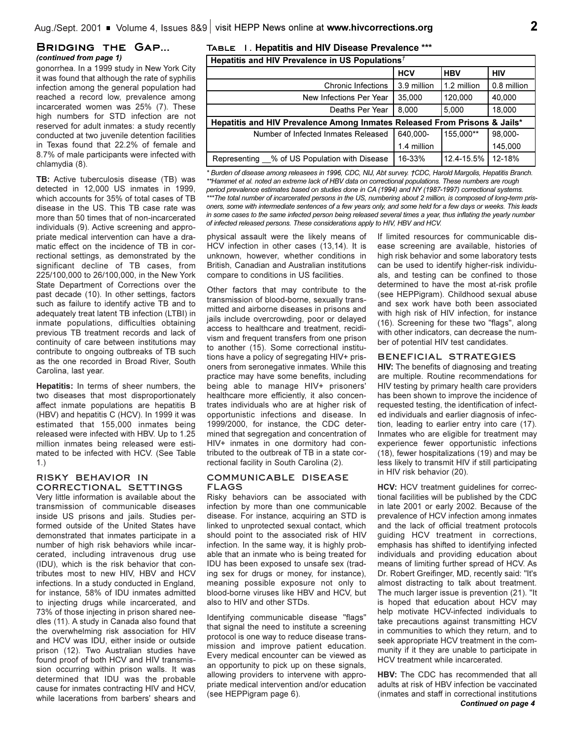## **Bridging the Gap...** *(continued from page 1)*

gonorrhea. In a 1999 study in New York City it was found that although the rate of syphilis infection among the general population had reached a record low, prevalence among incarcerated women was 25% (7). These high numbers for STD infection are not reserved for adult inmates: a study recently conducted at two juvenile detention facilities in Texas found that 22.2% of female and 8.7% of male participants were infected with chlamydia (8).

**TB:** Active tuberculosis disease (TB) was detected in 12,000 US inmates in 1999, which accounts for 35% of total cases of TB disease in the US. This TB case rate was more than 50 times that of non-incarcerated individuals (9). Active screening and appropriate medical intervention can have a dramatic effect on the incidence of TB in correctional settings, as demonstrated by the significant decline of TB cases, from 225/100,000 to 26/100,000, in the New York State Department of Corrections over the past decade (10). In other settings, factors such as failure to identify active TB and to adequately treat latent TB infection (LTBI) in inmate populations, difficulties obtaining previous TB treatment records and lack of continuity of care between institutions may contribute to ongoing outbreaks of TB such as the one recorded in Broad River, South Carolina, last year.

**Hepatitis:** In terms of sheer numbers, the two diseases that most disproportionately affect inmate populations are hepatitis B (HBV) and hepatitis C (HCV). In 1999 it was estimated that 155,000 inmates being released were infected with HBV. Up to 1.25 million inmates being released were estimated to be infected with HCV. (See Table 1.)

## **RISKY BEHAVIOR IN CORRECTIONAL SETTINGS**

Very little information is available about the transmission of communicable diseases inside US prisons and jails. Studies performed outside of the United States have demonstrated that inmates participate in a number of high risk behaviors while incarcerated, including intravenous drug use (IDU), which is the risk behavior that contributes most to new HIV, HBV and HCV infections. In a study conducted in England, for instance, 58% of IDU inmates admitted to injecting drugs while incarcerated, and 73% of those injecting in prison shared needles (11). A study in Canada also found that the overwhelming risk association for HIV and HCV was IDU, either inside or outside prison (12). Two Australian studies have found proof of both HCV and HIV transmission occurring within prison walls. It was determined that IDU was the probable cause for inmates contracting HIV and HCV, while lacerations from barbers' shears and

## **Table 1. Hepatitis and HIV Disease Prevalence \*\*\***

| Hepatitis and HIV Prevalence in US Populations <sup><math>\tau</math></sup> |  |  |
|-----------------------------------------------------------------------------|--|--|
|-----------------------------------------------------------------------------|--|--|

|                                                                           | <b>HCV</b>  | <b>HBV</b>  | <b>HIV</b>  |
|---------------------------------------------------------------------------|-------------|-------------|-------------|
| <b>Chronic Infections</b>                                                 | 3.9 million | 1.2 million | 0.8 million |
| New Infections Per Year                                                   | 35,000      | 120,000     | 40,000      |
| Deaths Per Year                                                           | 8.000       | 5,000       | 18,000      |
| Hepatitis and HIV Prevalence Among Inmates Released From Prisons & Jails* |             |             |             |
| Number of Infected Inmates Released                                       | 640.000-    | 155.000**   | 98,000-     |
|                                                                           | 1.4 million |             | 145,000     |
| % of US Population with Disease<br>Representing                           | 16-33%      | 12.4-15.5%  | 12-18%      |

**\* Burden of disease among releasees in 1996, CDC, NIJ, Abt survey. †CDC, Harold Margolis, Hepatitis Branch.** *\*\*Hammet et al. noted an extreme lack of HBV data on correctional populations. These numbers are rough period prevalence estimates based on studies done in CA (1994) and NY (1987-1997) correctional systems. \*\*\*The total number of incarcerated persons in the US, numbering about 2 million, is composed of long-term prisoners, some with intermediate sentences of a few years only, and some held for a few days or weeks. This leads in some cases to the same infected person being released several times a year, thus inflating the yearly number of infected released persons. These considerations apply to HIV, HBV and HCV.*

physical assault were the likely means of HCV infection in other cases (13,14). It is unknown, however, whether conditions in British, Canadian and Australian institutions compare to conditions in US facilities.

Other factors that may contribute to the transmission of blood-borne, sexually transmitted and airborne diseases in prisons and jails include overcrowding, poor or delayed access to healthcare and treatment, recidivism and frequent transfers from one prison to another (15). Some correctional institutions have a policy of segregating HIV+ prisoners from seronegative inmates. While this practice may have some benefits, including being able to manage HIV+ prisoners' healthcare more efficiently, it also concentrates individuals who are at higher risk of opportunistic infections and disease. In 1999/2000, for instance, the CDC determined that segregation and concentration of HIV+ inmates in one dormitory had contributed to the outbreak of TB in a state correctional facility in South Carolina (2).

## **COMMUNICABLE DISEASE FLAGS**

Risky behaviors can be associated with infection by more than one communicable disease. For instance, acquiring an STD is linked to unprotected sexual contact, which should point to the associated risk of HIV infection. In the same way, it is highly probable that an inmate who is being treated for IDU has been exposed to unsafe sex (trading sex for drugs or money, for instance), meaning possible exposure not only to blood-borne viruses like HBV and HCV, but also to HIV and other STDs.

Identifying communicable disease "flags" that signal the need to institute a screening protocol is one way to reduce disease transmission and improve patient education. Every medical encounter can be viewed as an opportunity to pick up on these signals, allowing providers to intervene with appropriate medical intervention and/or education (see HEPPigram page 6).

If limited resources for communicable disease screening are available, histories of high risk behavior and some laboratory tests can be used to identify higher-risk individuals, and testing can be confined to those determined to have the most at-risk profile (see HEPPigram). Childhood sexual abuse and sex work have both been associated with high risk of HIV infection, for instance (16). Screening for these two "flags", along with other indicators, can decrease the number of potential HIV test candidates.

## **BENEFICIAL STRATEGIES**

**HIV:** The benefits of diagnosing and treating are multiple. Routine recommendations for HIV testing by primary health care providers has been shown to improve the incidence of requested testing, the identification of infected individuals and earlier diagnosis of infection, leading to earlier entry into care (17). Inmates who are eligible for treatment may experience fewer opportunistic infections (18), fewer hospitalizations (19) and may be less likely to transmit HIV if still participating in HIV risk behavior (20).

**HCV:** HCV treatment guidelines for correctional facilities will be published by the CDC in late 2001 or early 2002. Because of the prevalence of HCV infection among inmates and the lack of official treatment protocols guiding HCV treatment in corrections, emphasis has shifted to identifying infected individuals and providing education about means of limiting further spread of HCV. As Dr. Robert Greifinger, MD, recently said: "It's almost distracting to talk about treatment. The much larger issue is prevention (21). "It is hoped that education about HCV may help motivate HCV-infected individuals to take precautions against transmitting HCV in communities to which they return, and to seek appropriate HCV treatment in the community if it they are unable to participate in HCV treatment while incarcerated.

**HBV:** The CDC has recommended that all adults at risk of HBV infection be vaccinated (inmates and staff in correctional institutions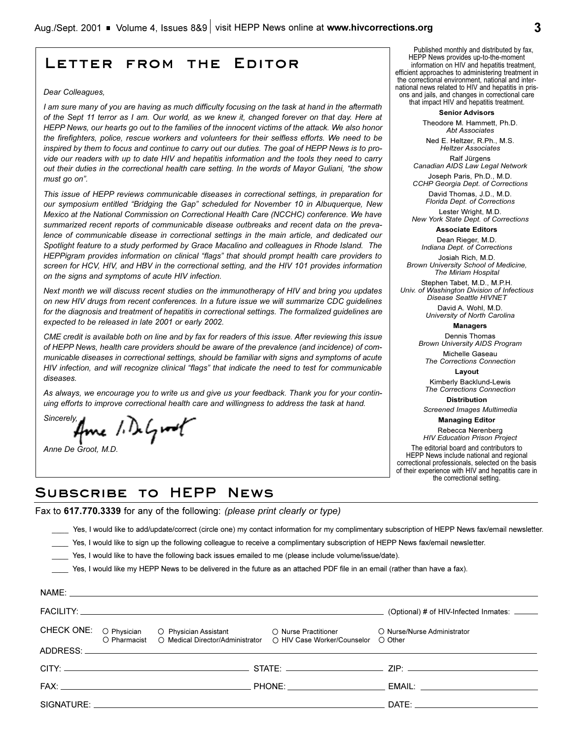## **Letter from the Editor**

#### *Dear Colleagues,*

*I am sure many of you are having as much difficulty focusing on the task at hand in the aftermath of the Sept 11 terror as I am. Our world, as we knew it, changed forever on that day. Here at HEPP News, our hearts go out to the families of the innocent victims of the attack. We also honor the firefighters, police, rescue workers and volunteers for their selfless efforts. We need to be inspired by them to focus and continue to carry out our duties. The goal of HEPP News is to provide our readers with up to date HIV and hepatitis information and the tools they need to carry out their duties in the correctional health care setting. In the words of Mayor Guliani, the show* must go on".

*This issue of HEPP reviews communicable diseases in correctional settings, in preparation for* our symposium entitled "Bridging the Gap" scheduled for November 10 in Albuquerque, New *Mexico at the National Commission on Correctional Health Care (NCCHC) conference. We have summarized recent reports of communicable disease outbreaks and recent data on the prevalence of communicable disease in correctional settings in the main article, and dedicated our Spotlight feature to a study performed by Grace Macalino and colleagues in Rhode Island. The HEPPigram provides information on clinical "flags" that should prompt health care providers to screen for HCV, HIV, and HBV in the correctional setting, and the HIV 101 provides information on the signs and symptoms of acute HIV infection.* 

*Next month we will discuss recent studies on the immunotherapy of HIV and bring you updates on new HIV drugs from recent conferences. In a future issue we will summarize CDC guidelines for the diagnosis and treatment of hepatitis in correctional settings. The formalized guidelines are expected to be released in late 2001 or early 2002.*

*CME credit is available both on line and by fax for readers of this issue. After reviewing this issue of HEPP News, health care providers should be aware of the prevalence (and incidence) of communicable diseases in correctional settings, should be familiar with signs and symptoms of acute HIV infection, and will recognize clinical "flags" that indicate the need to test for communicable diseases.* 

*As always, we encourage you to write us and give us your feedback. Thank you for your continuing efforts to improve correctional health care and willingness to address the task at hand.*

*Sincerely,*

*Anne De Groot, M.D.* 

NAME:

Published monthly and distributed by fax, HEPP News provides up-to-the-moment information on HIV and hepatitis treatment, efficient approaches to administering treatment in the correctional environment, national and international news related to HIV and hepatitis in prisons and jails, and changes in correctional care that impact HIV and hepatitis treatment.

**Senior Advisors**

Theodore M. Hammett, Ph.D. *Abt Associates*

Ned E. Heltzer, R.Ph., M.S. *Heltzer Associates* Ralf Jürgens

*Canadian AIDS Law Legal Network* Joseph Paris, Ph.D., M.D. *CCHP Georgia Dept. of Corrections* 

David Thomas, J.D., M.D.

*Florida Dept. of Corrections* Lester Wright, M.D.

*New York State Dept. of Corrections* **Associate Editors**

Dean Rieger, M.D.

*Indiana Dept. of Corrections* Josiah Rich, M.D.

*Brown University School of Medicine, The Miriam Hospital*

Stephen Tabet, M.D., M.P.H. *Univ. of Washington Division of Infectious Disease Seattle HIVNET*

David A. Wohl, M.D. *University of North Carolina*

**Managers**

Dennis Thomas *Brown University AIDS Program*

Michelle Gaseau *The Corrections Connection*

**Layout**

Kimberly Backlund-Lewis *The Corrections Connection*

**Distribution**

*Screened Images Multimedia* **Managing Editor** 

Rebecca Nerenberg *HIV Education Prison Project* The editorial board and contributors to HEPP News include national and regional correctional professionals, selected on the basis of their experience with HIV and hepatitis care in the correctional setting.

## **Subscribe to HEPP News**

Fax to **617.770.3339** for any of the following: *(please print clearly or type)*

\_\_\_\_ Yes, I would like to add/update/correct (circle one) my contact information for my complimentary subscription of HEPP News fax/email newsletter.

- Yes, I would like to sign up the following colleague to receive a complimentary subscription of HEPP News fax/email newsletter.
- \_\_\_\_ Yes, I would like to have the following back issues emailed to me (please include volume/issue/date).

Yes, I would like my HEPP News to be delivered in the future as an attached PDF file in an email (rather than have a fax).

|  |                                               |                                                                                                                      | (Optional) # of HIV-Infected Inmates: _____                                                                                                                                                                                    |
|--|-----------------------------------------------|----------------------------------------------------------------------------------------------------------------------|--------------------------------------------------------------------------------------------------------------------------------------------------------------------------------------------------------------------------------|
|  | O Pharmacist O Medical Director/Administrator | CHECK ONE: O Physician O Physician Assistant O Nurse Practitioner<br>$\circ$ HIV Case Worker/Counselor $\circ$ Other | O Nurse/Nurse Administrator                                                                                                                                                                                                    |
|  |                                               |                                                                                                                      |                                                                                                                                                                                                                                |
|  |                                               |                                                                                                                      |                                                                                                                                                                                                                                |
|  |                                               |                                                                                                                      |                                                                                                                                                                                                                                |
|  |                                               |                                                                                                                      | DATE: the contract of the contract of the contract of the contract of the contract of the contract of the contract of the contract of the contract of the contract of the contract of the contract of the contract of the cont |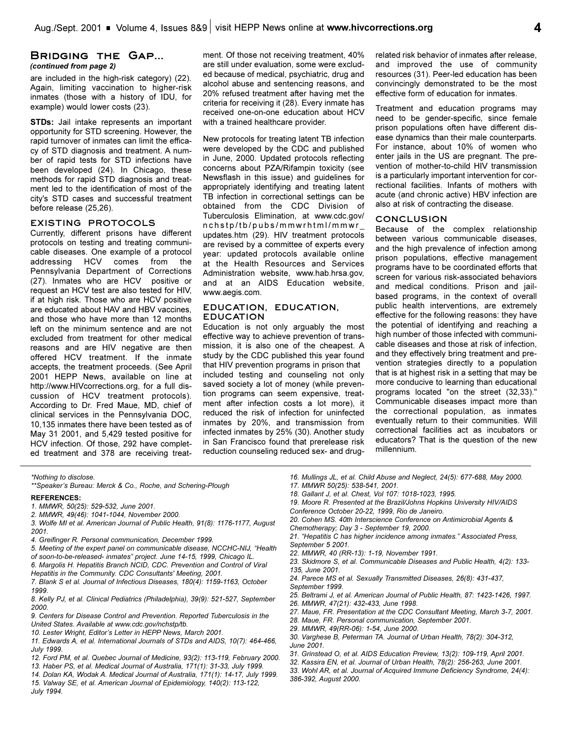## **Bridging the Gap...** *(continued from page 2)*

are included in the high-risk category) (22). Again, limiting vaccination to higher-risk inmates (those with a history of IDU, for example) would lower costs (23).

**STDs:** Jail intake represents an important opportunity for STD screening. However, the rapid turnover of inmates can limit the efficacy of STD diagnosis and treatment. A number of rapid tests for STD infections have been developed (24). In Chicago, these methods for rapid STD diagnosis and treatment led to the identification of most of the city's STD cases and successful treatment before release (25,26).

## **EXISTING PROTOCOLS**

Currently, different prisons have different protocols on testing and treating communicable diseases. One example of a protocol addressing HCV comes from the Pennsylvania Department of Corrections (27). Inmates who are HCV positive or request an HCV test are also tested for HIV, if at high risk. Those who are HCV positive are educated about HAV and HBV vaccines, and those who have more than 12 months left on the minimum sentence and are not excluded from treatment for other medical reasons and are HIV negative are then offered HCV treatment. If the inmate accepts, the treatment proceeds. (See April 2001 HEPP News, available on line at http://www.HIVcorrections.org, for a full discussion of HCV treatment protocols). According to Dr. Fred Maue, MD, chief of clinical services in the Pennsylvania DOC, 10,135 inmates there have been tested as of May 31 2001, and 5,429 tested positive for HCV infection. Of those, 292 have completed treatment and 378 are receiving treatment. Of those not receiving treatment, 40% are still under evaluation, some were excluded because of medical, psychiatric, drug and alcohol abuse and sentencing reasons, and 20% refused treatment after having met the criteria for receiving it (28). Every inmate has received one-on-one education about HCV with a trained healthcare provider.

New protocols for treating latent TB infection were developed by the CDC and published in June, 2000. Updated protocols reflecting concerns about PZA/Rifampin toxicity (see Newsflash in this issue) and guidelines for appropriately identifying and treating latent TB infection in correctional settings can be obtained from the CDC Division of Tuberculosis Elimination, at www.cdc.gov/ nchstp/tb/pubs/mmwrhtml/mmwr\_ updates.htm (29). HIV treatment protocols are revised by a committee of experts every year: updated protocols available online at the Health Resources and Services Administration website, www.hab.hrsa.gov, and at an AIDS Education website, www.aegis.com.

## **EDUCATION, EDUCATION, EDUCATION**

Education is not only arguably the most effective way to achieve prevention of transmission, it is also one of the cheapest. A study by the CDC published this year found that HIV prevention programs in prison that included testing and counseling not only saved society a lot of money (while prevention programs can seem expensive, treatment after infection costs a lot more), it reduced the risk of infection for uninfected inmates by 20%, and transmission from infected inmates by 25% (30). Another study in San Francisco found that prerelease risk reduction counseling reduced sex- and drugrelated risk behavior of inmates after release, and improved the use of community resources (31). Peer-led education has been convincingly demonstrated to be the most effective form of education for inmates.

Treatment and education programs may need to be gender-specific, since female prison populations often have different disease dynamics than their male counterparts. For instance, about 10% of women who enter jails in the US are pregnant. The prevention of mother-to-child HIV transmission is a particularly important intervention for correctional facilities. Infants of mothers with acute (and chronic active) HBV infection are also at risk of contracting the disease.

#### **CONCLUSION**

Because of the complex relationship between various communicable diseases, and the high prevalence of infection among prison populations, effective management programs have to be coordinated efforts that screen for various risk-associated behaviors and medical conditions. Prison and jailbased programs, in the context of overall public health interventions, are extremely effective for the following reasons: they have the potential of identifying and reaching a high number of those infected with communicable diseases and those at risk of infection, and they effectively bring treatment and prevention strategies directly to a population that is at highest risk in a setting that may be more conducive to learning than educational programs located "on the street (32,33)." Communicable diseases impact more than the correctional population, as inmates eventually return to their communities. Will correctional facilities act as incubators or educators? That is the question of the new millennium.

*\*Nothing to disclose.*

\*\*Speaker's Bureau: Merck & Co., Roche, and Schering-Plough

#### **REFERENCES:**

- *1. MMWR, 50(25): 529-532, June 2001.*
- *2. MMWR, 49(46): 1041-1044, November 2000.*
- *3. Wolfe MI et al. American Journal of Public Health, 91(8): 1176-1177, August 2001.*
- *4. Greifinger R. Personal communication, December 1999.*
- *5. Meeting of the expert panel on communicable disease, NCCHC-NIJ, Health of soon-to-be-released- inmates project. June 14-15, 1999, Chicago IL.*
- *6. Margolis H. Hepatitis Branch NCID, CDC. Prevention and Control of Viral*
- *Hepatitis in the Community. CDC Consultants' Meeting, 2001.*
- *7. Blank S et al. Journal of Infectious Diseases, 180(4): 1159-1163, October 1999.*
- *8. Kelly PJ, et al. Clinical Pediatrics (Philadelphia), 39(9): 521-527, September 2000.*
- *9. Centers for Disease Control and Prevention. Reported Tuberculosis in the United States. Available at www.cdc.gov/nchstp/tb.*
- 10. Lester Wright, Editor's Letter in HEPP News, March 2001.
- *11. Edwards A, et al. International Journals of STDs and AIDS, 10(7): 464-466, July 1999.*
- *12. Ford PM, et al. Quebec Journal of Medicine, 93(2): 113-119, February 2000.*
- *13. Haber PS, et al. Medical Journal of Australia, 171(1): 31-33, July 1999.*
- *14. Dolan KA, Wodak A. Medical Journal of Australia, 171(1): 14-17, July 1999. 15. Valway SE, et al. American Journal of Epidemiology, 140(2): 113-122, July 1994.*
- *16. Mullings JL, et al. Child Abuse and Neglect, 24(5): 677-688, May 2000.*
- *17. MMWR 50(25): 538-541, 2001.*
- *18. Gallant J, et al. Chest, Vol 107: 1018-1023, 1995.*
- *19. Moore R. Presented at the Brazil/Johns Hopkins University HIV/AIDS*
- *Conference October 20-22, 1999, Rio de Janeiro.*
- *20. Cohen MS. 40th Interscience Conference on Antimicrobial Agents & Chemotherapy; Day 3 - September 19, 2000.*
- *21. Hepatitis C has higher incidence among inmates. Associated Press, September 5 2001.*
- *22. MMWR, 40 (RR-13): 1-19, November 1991.*
- *23. Skidmore S, et al. Communicable Diseases and Public Health, 4(2): 133- 135, June 2001.*
- *24. Parece MS et al. Sexually Transmitted Diseases, 26(8): 431-437,*
- *September 1999.*
- *25. Beltrami J, et al. American Journal of Public Health, 87: 1423-1426, 1997.*
- *26. MMWR, 47(21): 432-433, June 1998.*
- *27. Maue, FR. Presentation at the CDC Consultant Meeting, March 3-7, 2001.*
- *28. Maue, FR. Personal communication, September 2001.*
- *29. MMWR, 49(RR-06): 1-54, June 2000.*
- *30. Varghese B, Peterman TA. Journal of Urban Health, 78(2): 304-312, June 2001.*
- *31. Grinstead O, et al. AIDS Education Preview, 13(2): 109-119, April 2001.*
- *32. Kassira EN, et al. Journal of Urban Health, 78(2): 256-263, June 2001.*
- *33. Wohl AR, et al. Journal of Acquired Immune Deficiency Syndrome, 24(4): 386-392, August 2000.*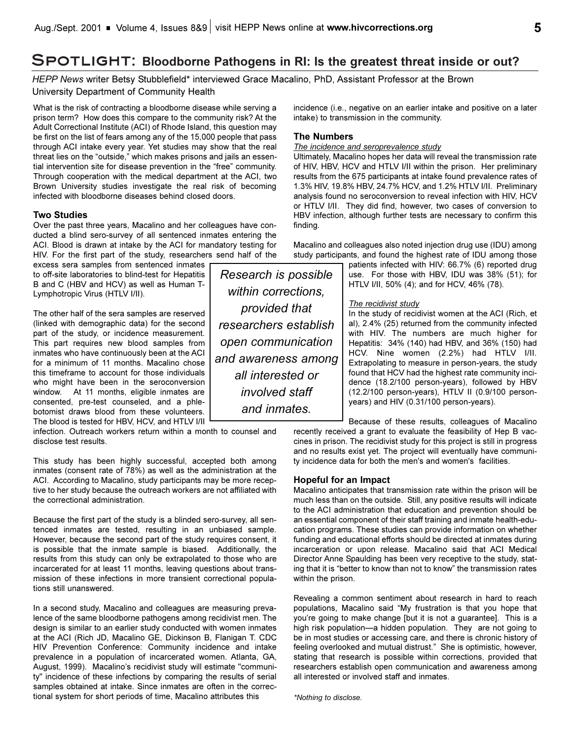## **Spotlight: Bloodborne Pathogens in RI: Is the greatest threat inside or out?**

*HEPP News* writer Betsy Stubblefield\* interviewed Grace Macalino, PhD, Assistant Professor at the Brown University Department of Community Health

What is the risk of contracting a bloodborne disease while serving a prison term? How does this compare to the community risk? At the Adult Correctional Institute (ACI) of Rhode Island, this question may be first on the list of fears among any of the 15,000 people that pass through ACI intake every year. Yet studies may show that the real threat lies on the "outside," which makes prisons and jails an essential intervention site for disease prevention in the "free" community. Through cooperation with the medical department at the ACI, two Brown University studies investigate the real risk of becoming infected with bloodborne diseases behind closed doors.

## **Two Studies**

Over the past three years, Macalino and her colleagues have conducted a blind sero-survey of all sentenced inmates entering the ACI. Blood is drawn at intake by the ACI for mandatory testing for HIV. For the first part of the study, researchers send half of the

excess sera samples from sentenced inmates to off-site laboratories to blind-test for Hepatitis B and C (HBV and HCV) as well as Human T-Lymphotropic Virus (HTLV I/II).

The other half of the sera samples are reserved (linked with demographic data) for the second part of the study, or incidence measurement. This part requires new blood samples from inmates who have continuously been at the ACI for a minimum of 11 months. Macalino chose this timeframe to account for those individuals who might have been in the seroconversion window. At 11 months, eligible inmates are consented, pre-test counseled, and a phlebotomist draws blood from these volunteers. The blood is tested for HBV, HCV, and HTLV I/II

infection. Outreach workers return within a month to counsel and disclose test results.

This study has been highly successful, accepted both among inmates (consent rate of 78%) as well as the administration at the ACI. According to Macalino, study participants may be more receptive to her study because the outreach workers are not affiliated with the correctional administration.

Because the first part of the study is a blinded sero-survey, all sentenced inmates are tested, resulting in an unbiased sample. However, because the second part of the study requires consent, it is possible that the inmate sample is biased. Additionally, the results from this study can only be extrapolated to those who are incarcerated for at least 11 months, leaving questions about transmission of these infections in more transient correctional populations still unanswered.

In a second study, Macalino and colleagues are measuring prevalence of the same bloodborne pathogens among recidivist men. The design is similar to an earlier study conducted with women inmates at the ACI (Rich JD, Macalino GE, Dickinson B, Flanigan T. CDC HIV Prevention Conference: Community incidence and intake prevalence in a population of incarcerated women. Atlanta, GA, August, 1999). Macalino's recidivist study will estimate "community" incidence of these infections by comparing the results of serial samples obtained at intake. Since inmates are often in the correctional system for short periods of time, Macalino attributes this

*Research is possible within corrections, provided that researchers establish open communication and awareness among all interested or involved staff and inmates.*

incidence (i.e., negative on an earlier intake and positive on a later intake) to transmission in the community.

## **The Numbers**

## *The incidence and seroprevalence study*

Ultimately, Macalino hopes her data will reveal the transmission rate of HIV, HBV, HCV and HTLV I/II within the prison. Her preliminary results from the 675 participants at intake found prevalence rates of 1.3% HIV, 19.8% HBV, 24.7% HCV, and 1.2% HTLV I/II. Preliminary analysis found no seroconversion to reveal infection with HIV, HCV or HTLV I/II. They did find, however, two cases of conversion to HBV infection, although further tests are necessary to confirm this finding.

Macalino and colleagues also noted injection drug use (IDU) among study participants, and found the highest rate of IDU among those

> patients infected with HIV: 66.7% (6) reported drug use. For those with HBV, IDU was 38% (51); for HTLV I/II, 50% (4); and for HCV, 46% (78).

## *The recidivist study*

In the study of recidivist women at the ACI (Rich, et al), 2.4% (25) returned from the community infected with HIV. The numbers are much higher for Hepatitis: 34% (140) had HBV, and 36% (150) had HCV. Nine women (2.2%) had HTLV I/II. Extrapolating to measure in person-years, the study found that HCV had the highest rate community incidence (18.2/100 person-years), followed by HBV (12.2/100 person-years), HTLV II (0.9/100 personyears) and HIV (0.31/100 person-years).

Because of these results, colleagues of Macalino recently received a grant to evaluate the feasibility of Hep B vaccines in prison. The recidivist study for this project is still in progress and no results exist yet. The project will eventually have community incidence data for both the men's and women's facilities.

## **Hopeful for an Impact**

Macalino anticipates that transmission rate within the prison will be much less than on the outside. Still, any positive results will indicate to the ACI administration that education and prevention should be an essential component of their staff training and inmate health-education programs. These studies can provide information on whether funding and educational efforts should be directed at inmates during incarceration or upon release. Macalino said that ACI Medical Director Anne Spaulding has been very receptive to the study, stating that it is "better to know than not to know" the transmission rates within the prison.

Revealing a common sentiment about research in hard to reach populations, Macalino said "My frustration is that you hope that you're going to make change [but it is not a guarantee]. This is a high risk population-a hidden population. They are not going to be in most studies or accessing care, and there is chronic history of feeling overlooked and mutual distrust." She is optimistic, however, stating that research is possible within corrections, provided that researchers establish open communication and awareness among all interested or involved staff and inmates.

*\*Nothing to disclose.*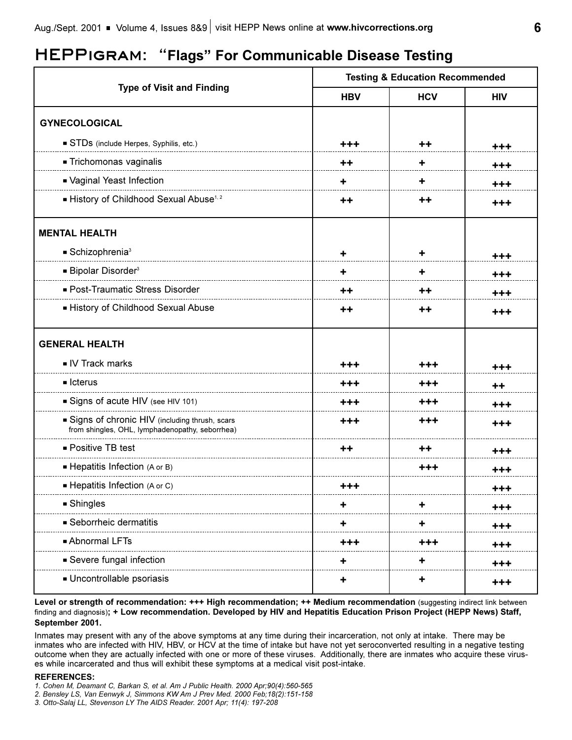# **HEPPigram: Flags For Communicable Disease Testing**

|                                                                                                  | <b>Testing &amp; Education Recommended</b> |            |            |
|--------------------------------------------------------------------------------------------------|--------------------------------------------|------------|------------|
| <b>Type of Visit and Finding</b>                                                                 | <b>HBV</b>                                 | <b>HCV</b> | <b>HIV</b> |
| <b>GYNECOLOGICAL</b>                                                                             |                                            |            |            |
| STDs (include Herpes, Syphilis, etc.)                                                            | +++                                        | ++         | +++        |
| - Trichomonas vaginalis                                                                          | ++                                         | ٠          | $+ + +$    |
| - Vaginal Yeast Infection                                                                        | ٠                                          | ٠          | +++        |
| History of Childhood Sexual Abuse <sup>1, 2</sup>                                                | ++                                         | ++         | $+ + +$    |
| <b>MENTAL HEALTH</b>                                                                             |                                            |            |            |
| $\blacksquare$ Schizophrenia <sup>3</sup>                                                        | ٠                                          | ٠          | +++        |
| ■ Bipolar Disorder <sup>3</sup>                                                                  | ٠.                                         | ٠          | $+ + +$    |
| - Post-Traumatic Stress Disorder                                                                 | $^{\mathrm{+}}$                            | ++         | $+ + +$    |
| - History of Childhood Sexual Abuse                                                              | $^{\mathrm{+}}$                            | ++         | +++        |
| <b>GENERAL HEALTH</b>                                                                            |                                            |            |            |
| IV Track marks                                                                                   | +++                                        | +++        | $+ + +$    |
| $\blacksquare$ Icterus                                                                           | $+ + +$                                    | +++        | ++         |
| Signs of acute HIV (see HIV 101)                                                                 | +++                                        | +++        | $+ + +$    |
| Signs of chronic HIV (including thrush, scars<br>from shingles, OHL, lymphadenopathy, seborrhea) | +++                                        | +++        | +++        |
| ■ Positive TB test                                                                               | ++                                         | ++         | +++        |
| Hepatitis Infection (A or B)                                                                     |                                            | $+ + +$    | $+ + +$    |
| Hepatitis Infection (A or C)                                                                     |                                            |            | $+ + +$    |
| <b>Shingles</b>                                                                                  |                                            |            | $+ + +$    |
| Seborrheic dermatitis                                                                            | ٠                                          | ٠          | $+ + +$    |
| - Abnormal LFTs                                                                                  | +++                                        | +++        | $+ + +$    |
| Severe fungal infection                                                                          |                                            |            | $+ + +$    |
| Uncontrollable psoriasis                                                                         | ٠                                          | ٠          | $+ + +$    |

Level or strength of recommendation: +++ High recommendation; ++ Medium recommendation (suggesting indirect link between finding and diagnosis)**; + Low recommendation. Developed by HIV and Hepatitis Education Prison Project (HEPP News) Staff, September 2001.**

Inmates may present with any of the above symptoms at any time during their incarceration, not only at intake. There may be inmates who are infected with HIV, HBV, or HCV at the time of intake but have not yet seroconverted resulting in a negative testing outcome when they are actually infected with one or more of these viruses. Additionally, there are inmates who acquire these viruses while incarcerated and thus will exhibit these symptoms at a medical visit post-intake.

## **REFERENCES:**

*1. Cohen M, Deamant C, Barkan S, et al. Am J Public Health. 2000 Apr;90(4):560-565*

- *2. Bensley LS, Van Eenwyk J, Simmons KW Am J Prev Med. 2000 Feb;18(2):151-158*
- *3. Otto-Salaj LL, Stevenson LY The AIDS Reader. 2001 Apr; 11(4): 197-208*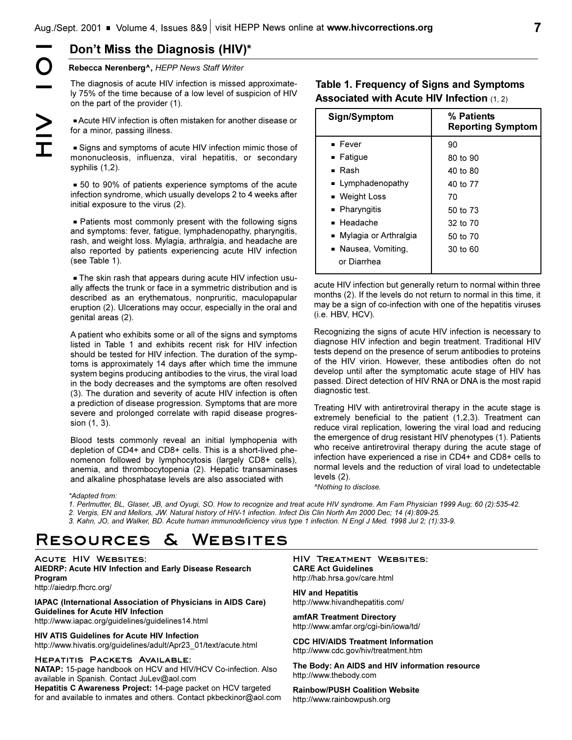**Rebecca Nerenberg^,** *HEPP News Staff Writer*

The diagnosis of acute HIV infection is missed approximately 75% of the time because of a low level of suspicion of HIV on the part of the provider (1). **HIV)\***<br> **HIV**<br> **HIV**<br> **HIV**<br> **HIV**<br> **HIV**<br> **HEPP** News Staff Writer<br>
The diagnosis of acute HIV infection is missed a<br>
IV 75% of the time because of a low level of susp<br>
on the part of the provider (1).<br> **ACUTE HIV** infec

Acute HIV infection is often mistaken for another disease or for a minor, passing illness.

Signs and symptoms of acute HIV infection mimic those of mononucleosis, influenza, viral hepatitis, or secondary syphilis (1,2).

 $=$  50 to 90% of patients experience symptoms of the acute infection syndrome, which usually develops 2 to 4 weeks after initial exposure to the virus (2).

 $\blacksquare$  Patients most commonly present with the following signs and symptoms: fever, fatigue, lymphadenopathy, pharyngitis, rash, and weight loss. Mylagia, arthralgia, and headache are also reported by patients experiencing acute HIV infection (see Table 1).

- The skin rash that appears during acute HIV infection usually affects the trunk or face in a symmetric distribution and is described as an erythematous, nonpruritic, maculopapular eruption (2). Ulcerations may occur, especially in the oral and genital areas (2).

A patient who exhibits some or all of the signs and symptoms listed in Table 1 and exhibits recent risk for HIV infection should be tested for HIV infection. The duration of the symptoms is approximately 14 days after which time the immune system begins producing antibodies to the virus, the viral load in the body decreases and the symptoms are often resolved (3). The duration and severity of acute HIV infection is often a prediction of disease progression. Symptoms that are more severe and prolonged correlate with rapid disease progression (1, 3).

Blood tests commonly reveal an initial lymphopenia with depletion of CD4+ and CD8+ cells. This is a short-lived phenomenon followed by lymphocytosis (largely CD8+ cells), anemia, and thrombocytopenia (2). Hepatic transaminases and alkaline phosphatase levels are also associated with

## **Table 1. Frequency of Signs and Symptoms Associated with Acute HIV Infection** (1, 2)

| Sign/Symptom            | % Patients<br><b>Reporting Symptom</b> |
|-------------------------|----------------------------------------|
| $\blacksquare$ Fever    | 90                                     |
| $\blacksquare$ Fatigue  | 80 to 90                               |
| ■ Rash                  | 40 to 80                               |
| ■ Lymphadenopathy       | 40 to 77                               |
| ■ Weight Loss           | 70                                     |
| ■ Pharyngitis           | 50 to 73                               |
| $\blacksquare$ Headache | 32 to 70                               |
| ■ Mylagia or Arthralgia | $50$ to $70$                           |
| ■ Nausea, Vomiting,     | 30 to 60                               |
| or Diarrhea             |                                        |
|                         |                                        |

acute HIV infection but generally return to normal within three months (2). If the levels do not return to normal in this time, it may be a sign of co-infection with one of the hepatitis viruses (i.e. HBV, HCV).

Recognizing the signs of acute HIV infection is necessary to diagnose HIV infection and begin treatment. Traditional HIV tests depend on the presence of serum antibodies to proteins of the HIV virion. However, these antibodies often do not develop until after the symptomatic acute stage of HIV has passed. Direct detection of HIV RNA or DNA is the most rapid diagnostic test.

Treating HIV with antiretroviral therapy in the acute stage is extremely beneficial to the patient (1,2,3). Treatment can reduce viral replication, lowering the viral load and reducing the emergence of drug resistant HIV phenotypes (1). Patients who receive antiretroviral therapy during the acute stage of infection have experienced a rise in CD4+ and CD8+ cells to normal levels and the reduction of viral load to undetectable levels (2).

*^Nothing to disclose.*

*\*Adapted from: 1. Perlmutter, BL, Glaser, JB, and Oyugi, SO. How to recognize and treat acute HIV syndrome. Am Fam Physician 1999 Aug; 60 (2):535-42.*

*2. Vergis, EN and Mellors, JW. Natural history of HIV-1 infection. Infect Dis Clin North Am 2000 Dec; 14 (4):809-25.*

*3. Kahn, JO, and Walker, BD. Acute human immunodeficiency virus type 1 infection. N Engl J Med. 1998 Jul 2; (1):33-9.*

# **Resources & Websites**

**Acute HIV Websites: AIEDRP: Acute HIV Infection and Early Disease Research Program** http://aiedrp.fhcrc.org/

## **IAPAC (International Association of Physicians in AIDS Care) Guidelines for Acute HIV Infection** http://www.iapac.org/guidelines/guidelines14.html

**HIV ATIS Guidelines for Acute HIV Infection**

http://www.hivatis.org/guidelines/adult/Apr23\_01/text/acute.html

## **Hepatitis Packets Available:**

**NATAP:** 15-page handbook on HCV and HIV/HCV Co-infection. Also available in Spanish. Contact JuLev@aol.com

**Hepatitis C Awareness Project:** 14-page packet on HCV targeted for and available to inmates and others. Contact pkbeckinor@aol.com

**HIV Treatment Websites: CARE Act Guidelines** http://hab.hrsa.gov/care.html

**HIV and Hepatitis** http://www.hivandhepatitis.com/

**amfAR Treatment Directory** http://www.amfar.org/cgi-bin/iowa/td/

**CDC HIV/AIDS Treatment Information** http://www.cdc.gov/hiv/treatment.htm

**The Body: An AIDS and HIV information resource** http://www.thebody.com

**Rainbow/PUSH Coalition Website** http://www.rainbowpush.org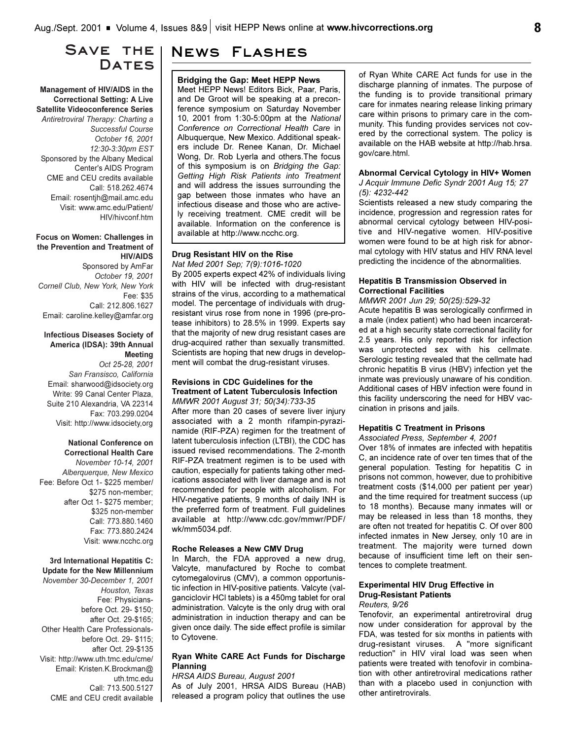## **Save the**  DATES

## **Management of HIV/AIDS in the Correctional Setting: A Live Satellite Videoconference Series**

*Antiretroviral Therapy: Charting a Successful Course October 16, 2001 12:30-3:30pm EST* Sponsored by the Albany Medical Center's AIDS Program CME and CEU credits available Call: 518.262.4674 Email: rosentjh@mail.amc.edu Visit: www.amc.edu/Patient/ HIV/hivconf.htm

#### **Focus on Women: Challenges in the Prevention and Treatment of HIV/AIDS**

Sponsored by AmFar *October 19, 2001 Cornell Club, New York, New York* Fee: \$35 Call: 212.806.1627 Email: caroline.kelley@amfar.org

## **Infectious Diseases Society of America (IDSA): 39th Annual Meeting**

*Oct 25-28, 2001 San Fransisco, California* Email: sharwood@idsociety.org Write: 99 Canal Center Plaza, Suite 210 Alexandria, VA 22314 Fax: 703.299.0204 Visit: http://www.idsociety,org

## **National Conference on Correctional Health Care**

*November 10-14, 2001 Alberquerque, New Mexico* Fee: Before Oct 1- \$225 member/ \$275 non-member; after Oct 1- \$275 member; \$325 non-member Call: 773.880.1460 Fax: 773.880.2424 Visit: www.ncchc.org

## **3rd International Hepatitis C: Update for the New Millennium**

*November 30-December 1, 2001 Houston, Texas* Fee: Physiciansbefore Oct. 29- \$150; after Oct. 29-\$165; Other Health Care Professionalsbefore Oct. 29- \$115; after Oct. 29-\$135 Visit: http://www.uth.tmc.edu/cme/ Email: Kristen.K.Brockman@ uth.tmc.edu Call: 713.500.5127 CME and CEU credit available

## **News Flashes**

#### **Bridging the Gap: Meet HEPP News**

Meet HEPP News! Editors Bick, Paar, Paris, and De Groot will be speaking at a preconference symposium on Saturday November 10, 2001 from 1:30-5:00pm at the *National Conference on Correctional Health Care* in Albuquerque, New Mexico. Additional speakers include Dr. Renee Kanan, Dr. Michael Wong, Dr. Rob Lyerla and others.The focus of this symposium is on *Bridging the Gap: Getting High Risk Patients into Treatment* and will address the issues surrounding the gap between those inmates who have an infectious disease and those who are actively receiving treatment. CME credit will be available. Information on the conference is available at http://www.ncchc.org.

#### **Drug Resistant HIV on the Rise** *Nat Med 2001 Sep; 7(9):1016-1020*

By 2005 experts expect 42% of individuals living with HIV will be infected with drug-resistant strains of the virus, according to a mathematical model. The percentage of individuals with drugresistant virus rose from none in 1996 (pre-protease inhibitors) to 28.5% in 1999. Experts say that the majority of new drug resistant cases are drug-acquired rather than sexually transmitted. Scientists are hoping that new drugs in development will combat the drug-resistant viruses.

## **Revisions in CDC Guidelines for the Treatment of Latent Tuberculosis Infection** *MMWR 2001 August 31; 50(34):733-35*

After more than 20 cases of severe liver injury associated with a 2 month rifampin-pyrazinamide (RIF-PZA) regimen for the treatment of latent tuberculosis infection (LTBI), the CDC has issued revised recommendations. The 2-month RIF-PZA treatment regimen is to be used with caution, especially for patients taking other medications associated with liver damage and is not recommended for people with alcoholism. For HIV-negative patients, 9 months of daily INH is the preferred form of treatment. Full guidelines available at http://www.cdc.gov/mmwr/PDF/ wk/mm5034.pdf.

## **Roche Releases a New CMV Drug**

In March, the FDA approved a new drug, Valcyte, manufactured by Roche to combat cytomegalovirus (CMV), a common opportunistic infection in HIV-positive patients. Valcyte (valganciclovir HCl tablets) is a 450mg tablet for oral administration. Valcyte is the only drug with oral administration in induction therapy and can be given once daily. The side effect profile is similar to Cytovene.

## **Ryan White CARE Act Funds for Discharge Planning**

*HRSA AIDS Bureau, August 2001* As of July 2001, HRSA AIDS Bureau (HAB) released a program policy that outlines the use of Ryan White CARE Act funds for use in the discharge planning of inmates. The purpose of the funding is to provide transitional primary care for inmates nearing release linking primary care within prisons to primary care in the community. This funding provides services not covered by the correctional system. The policy is available on the HAB website at http://hab.hrsa. gov/care.html.

#### **Abnormal Cervical Cytology in HIV+ Women** *J Acquir Immune Defic Syndr 2001 Aug 15; 27*

*(5): 4232-442*

Scientists released a new study comparing the incidence, progression and regression rates for abnormal cervical cytology between HIV-positive and HIV-negative women. HIV-positive women were found to be at high risk for abnormal cytology with HIV status and HIV RNA level predicting the incidence of the abnormalities.

## **Hepatitis B Transmission Observed in Correctional Facilities**

## *MMWR 2001 Jun 29; 50(25):529-32*

Acute hepatitis B was serologically confirmed in a male (index patient) who had been incarcerated at a high security state correctional facility for 2.5 years. His only reported risk for infection was unprotected sex with his cellmate. Serologic testing revealed that the cellmate had chronic hepatitis B virus (HBV) infection yet the inmate was previously unaware of his condition. Additional cases of HBV infection were found in this facility underscoring the need for HBV vaccination in prisons and jails.

## **Hepatitis C Treatment in Prisons**

## *Associated Press, September 4, 2001*

Over 18% of inmates are infected with hepatitis C, an incidence rate of over ten times that of the general population. Testing for hepatitis C in prisons not common, however, due to prohibitive treatment costs (\$14,000 per patient per year) and the time required for treatment success (up to 18 months). Because many inmates will or may be released in less than 18 months, they are often not treated for hepatitis C. Of over 800 infected inmates in New Jersey, only 10 are in treatment. The majority were turned down because of insufficient time left on their sentences to complete treatment.

## **Experimental HIV Drug Effective in Drug-Resistant Patients**

## *Reuters, 9/26*

Tenofovir, an experimental antiretroviral drug now under consideration for approval by the FDA, was tested for six months in patients with drug-resistant viruses. A "more significant reduction" in HIV viral load was seen when patients were treated with tenofovir in combination with other antiretroviral medications rather than with a placebo used in conjunction with other antiretrovirals.